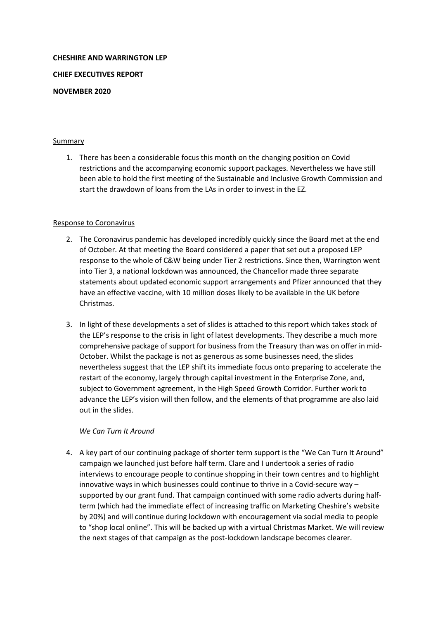# **CHESHIRE AND WARRINGTON LEP**

**CHIEF EXECUTIVES REPORT**

#### **NOVEMBER 2020**

#### **Summary**

1. There has been a considerable focus this month on the changing position on Covid restrictions and the accompanying economic support packages. Nevertheless we have still been able to hold the first meeting of the Sustainable and Inclusive Growth Commission and start the drawdown of loans from the LAs in order to invest in the EZ.

#### Response to Coronavirus

- 2. The Coronavirus pandemic has developed incredibly quickly since the Board met at the end of October. At that meeting the Board considered a paper that set out a proposed LEP response to the whole of C&W being under Tier 2 restrictions. Since then, Warrington went into Tier 3, a national lockdown was announced, the Chancellor made three separate statements about updated economic support arrangements and Pfizer announced that they have an effective vaccine, with 10 million doses likely to be available in the UK before Christmas.
- 3. In light of these developments a set of slides is attached to this report which takes stock of the LEP's response to the crisis in light of latest developments. They describe a much more comprehensive package of support for business from the Treasury than was on offer in mid-October. Whilst the package is not as generous as some businesses need, the slides nevertheless suggest that the LEP shift its immediate focus onto preparing to accelerate the restart of the economy, largely through capital investment in the Enterprise Zone, and, subject to Government agreement, in the High Speed Growth Corridor. Further work to advance the LEP's vision will then follow, and the elements of that programme are also laid out in the slides.

#### *We Can Turn It Around*

4. A key part of our continuing package of shorter term support is the "We Can Turn It Around" campaign we launched just before half term. Clare and I undertook a series of radio interviews to encourage people to continue shopping in their town centres and to highlight innovative ways in which businesses could continue to thrive in a Covid-secure way – supported by our grant fund. That campaign continued with some radio adverts during halfterm (which had the immediate effect of increasing traffic on Marketing Cheshire's website by 20%) and will continue during lockdown with encouragement via social media to people to "shop local online". This will be backed up with a virtual Christmas Market. We will review the next stages of that campaign as the post-lockdown landscape becomes clearer.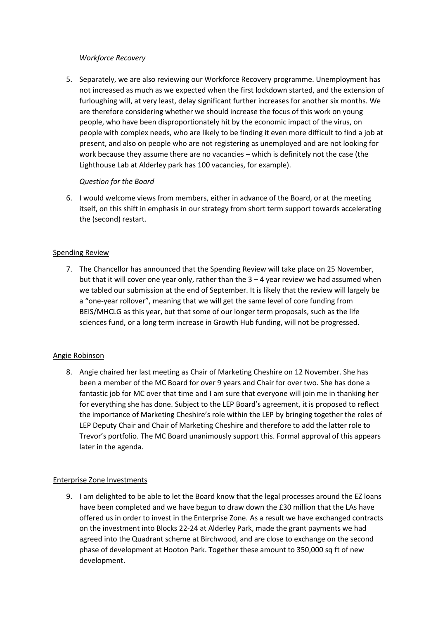#### *Workforce Recovery*

5. Separately, we are also reviewing our Workforce Recovery programme. Unemployment has not increased as much as we expected when the first lockdown started, and the extension of furloughing will, at very least, delay significant further increases for another six months. We are therefore considering whether we should increase the focus of this work on young people, who have been disproportionately hit by the economic impact of the virus, on people with complex needs, who are likely to be finding it even more difficult to find a job at present, and also on people who are not registering as unemployed and are not looking for work because they assume there are no vacancies – which is definitely not the case (the Lighthouse Lab at Alderley park has 100 vacancies, for example).

# *Question for the Board*

6. I would welcome views from members, either in advance of the Board, or at the meeting itself, on this shift in emphasis in our strategy from short term support towards accelerating the (second) restart.

# Spending Review

7. The Chancellor has announced that the Spending Review will take place on 25 November, but that it will cover one year only, rather than the  $3 - 4$  year review we had assumed when we tabled our submission at the end of September. It is likely that the review will largely be a "one-year rollover", meaning that we will get the same level of core funding from BEIS/MHCLG as this year, but that some of our longer term proposals, such as the life sciences fund, or a long term increase in Growth Hub funding, will not be progressed.

# Angie Robinson

8. Angie chaired her last meeting as Chair of Marketing Cheshire on 12 November. She has been a member of the MC Board for over 9 years and Chair for over two. She has done a fantastic job for MC over that time and I am sure that everyone will join me in thanking her for everything she has done. Subject to the LEP Board's agreement, it is proposed to reflect the importance of Marketing Cheshire's role within the LEP by bringing together the roles of LEP Deputy Chair and Chair of Marketing Cheshire and therefore to add the latter role to Trevor's portfolio. The MC Board unanimously support this. Formal approval of this appears later in the agenda.

# Enterprise Zone Investments

9. I am delighted to be able to let the Board know that the legal processes around the EZ loans have been completed and we have begun to draw down the £30 million that the LAs have offered us in order to invest in the Enterprise Zone. As a result we have exchanged contracts on the investment into Blocks 22-24 at Alderley Park, made the grant payments we had agreed into the Quadrant scheme at Birchwood, and are close to exchange on the second phase of development at Hooton Park. Together these amount to 350,000 sq ft of new development.